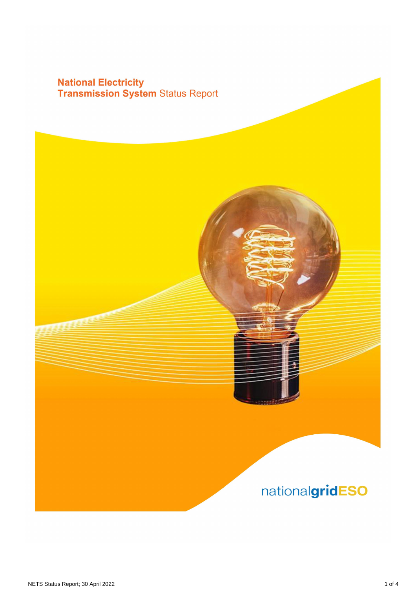## **National Electricity<br>Transmission System Status Report**

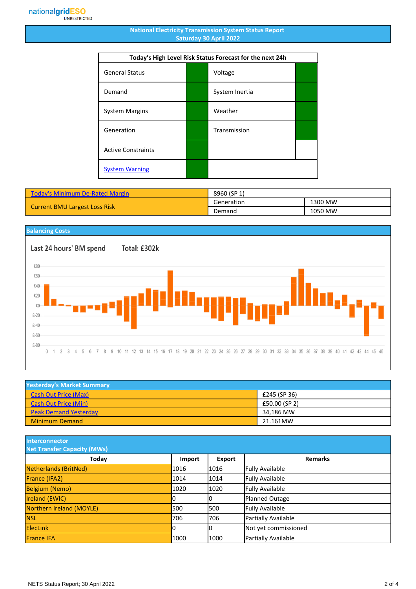## **National Electricity Transmission System Status Report Saturday 30 April 2022**

| Today's High Level Risk Status Forecast for the next 24h |  |                |  |
|----------------------------------------------------------|--|----------------|--|
| <b>General Status</b>                                    |  | Voltage        |  |
| Demand                                                   |  | System Inertia |  |
| <b>System Margins</b>                                    |  | Weather        |  |
| Generation                                               |  | Transmission   |  |
| <b>Active Constraints</b>                                |  |                |  |
| <b>System Warning</b>                                    |  |                |  |

| <b>Today's Minimum De-Rated Margin</b> | 8960 (SP 1) |         |
|----------------------------------------|-------------|---------|
| <b>Current BMU Largest Loss Risk</b>   | Generation  | 1300 MW |
|                                        | Demand      | 1050 MW |

## **Balancing Costs** Last 24 hours' BM spend Total: £302k £80 £60  $£40$ £20 £0  $£-20$  $£-40$  $£-60$  $£-80$  $0<sub>1</sub>$  $2<sup>3</sup>$  $\sqrt{4}$  $\,$  5  $\,6$ 7 8 9 10 11 12 13 14 15 16 17 18 19 20 21 22 23 24 25 26 27 28 29 30 31 32 33 34 35 36 37 38 39 40 41 42 43 44 45 46

| <b>Yesterday's Market Summary</b> |               |  |
|-----------------------------------|---------------|--|
| <b>Cash Out Price (Max)</b>       | £245 (SP 36)  |  |
| <b>Cash Out Price (Min)</b>       | £50.00 (SP 2) |  |
| <b>Peak Demand Yesterday</b>      | 34.186 MW     |  |
| <b>Minimum Demand</b>             | 21.161MW      |  |

**Interconnector**

| <b>Net Transfer Capacity (MWs)</b> |        |        |                        |
|------------------------------------|--------|--------|------------------------|
| Today                              | Import | Export | <b>Remarks</b>         |
| Netherlands (BritNed)              | 1016   | 1016   | <b>Fully Available</b> |
| France (IFA2)                      | 1014   | 1014   | <b>Fully Available</b> |
| <b>Belgium (Nemo)</b>              | 1020   | 1020   | <b>Fully Available</b> |
| <b>Ireland (EWIC)</b>              |        | 10     | Planned Outage         |
| Northern Ireland (MOYLE)           | 500    | 1500   | <b>Fully Available</b> |
| <b>NSL</b>                         | 706    | 706    | Partially Available    |
| <b>ElecLink</b>                    |        | IО     | Not yet commissioned   |
| <b>France IFA</b>                  | 1000   | 1000   | Partially Available    |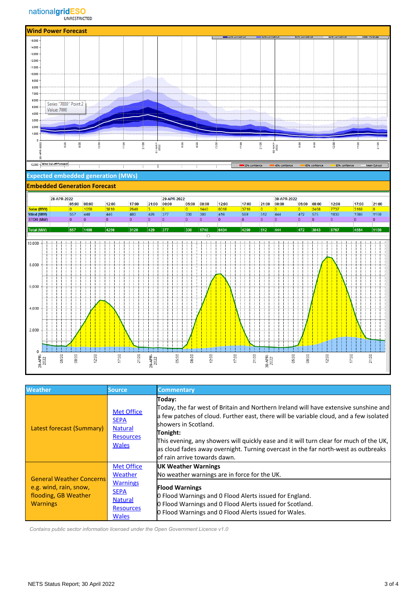

| <b>Weather</b>                                                                                       | <b>Source</b>                                                                                                        | <b>Commentary</b>                                                                                                                                                                                                                                                                                                                                                                                                                              |
|------------------------------------------------------------------------------------------------------|----------------------------------------------------------------------------------------------------------------------|------------------------------------------------------------------------------------------------------------------------------------------------------------------------------------------------------------------------------------------------------------------------------------------------------------------------------------------------------------------------------------------------------------------------------------------------|
| Latest forecast (Summary)                                                                            | <b>Met Office</b><br><b>SEPA</b><br><b>Natural</b><br><b>Resources</b><br><b>Wales</b>                               | Today:<br>Today, the far west of Britain and Northern Ireland will have extensive sunshine and<br>a few patches of cloud. Further east, there will be variable cloud, and a few isolated<br>lshowers in Scotland.<br>Tonight:<br>This evening, any showers will quickly ease and it will turn clear for much of the UK,<br>as cloud fades away overnight. Turning overcast in the far north-west as outbreaks<br>lof rain arrive towards dawn. |
| <b>General Weather Concerns</b><br>e.g. wind, rain, snow,<br>flooding, GB Weather<br><b>Warnings</b> | <b>Met Office</b><br>Weather<br><b>Warnings</b><br><b>SEPA</b><br><b>Natural</b><br><b>Resources</b><br><b>Wales</b> | <b>UK Weather Warnings</b><br>No weather warnings are in force for the UK.<br><b>Flood Warnings</b><br>O Flood Warnings and O Flood Alerts issued for England.<br>O Flood Warnings and O Flood Alerts issued for Scotland.<br>O Flood Warnings and O Flood Alerts issued for Wales.                                                                                                                                                            |

 *Contains public sector information licensed under the Open Government Licence v1.0*